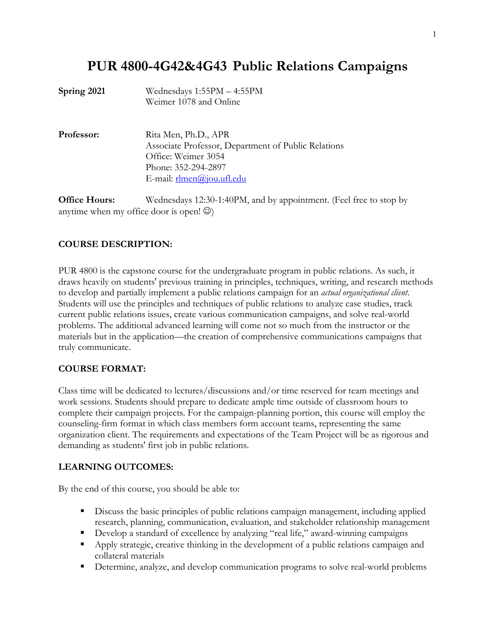# **PUR 4800-4G42&4G43 Public Relations Campaigns**

| Spring 2021 | Wednesdays $1:55PM - 4:55PM$<br>Weimer 1078 and Online                                                                                                             |
|-------------|--------------------------------------------------------------------------------------------------------------------------------------------------------------------|
| Professor:  | Rita Men, Ph.D., APR<br>Associate Professor, Department of Public Relations<br>Office: Weimer 3054<br>Phone: 352-294-2897<br>E-mail: $\mathbf{r}$ lmen@jou.ufl.edu |
|             |                                                                                                                                                                    |

**Office Hours:** Wednesdays 12:30-1:40PM, and by appointment. (Feel free to stop by anytime when my office door is open!  $\circledcirc$ )

#### **COURSE DESCRIPTION:**

PUR 4800 is the capstone course for the undergraduate program in public relations. As such, it draws heavily on students' previous training in principles, techniques, writing, and research methods to develop and partially implement a public relations campaign for an *actual organizational client*. Students will use the principles and techniques of public relations to analyze case studies, track current public relations issues, create various communication campaigns, and solve real-world problems. The additional advanced learning will come not so much from the instructor or the materials but in the application—the creation of comprehensive communications campaigns that truly communicate.

#### **COURSE FORMAT:**

Class time will be dedicated to lectures/discussions and/or time reserved for team meetings and work sessions. Students should prepare to dedicate ample time outside of classroom hours to complete their campaign projects. For the campaign-planning portion, this course will employ the counseling-firm format in which class members form account teams, representing the same organization client. The requirements and expectations of the Team Project will be as rigorous and demanding as students' first job in public relations.

#### **LEARNING OUTCOMES:**

By the end of this course, you should be able to:

- § Discuss the basic principles of public relations campaign management, including applied research, planning, communication, evaluation, and stakeholder relationship management
- § Develop a standard of excellence by analyzing "real life," award-winning campaigns
- § Apply strategic, creative thinking in the development of a public relations campaign and collateral materials
- Determine, analyze, and develop communication programs to solve real-world problems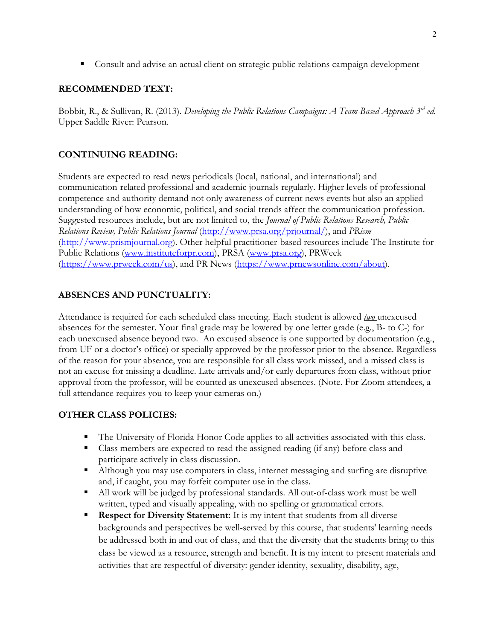■ Consult and advise an actual client on strategic public relations campaign development

### **RECOMMENDED TEXT:**

Bobbit, R., & Sullivan, R. (2013). *Developing the Public Relations Campaigns: A Team-Based Approach 3rd ed.* Upper Saddle River: Pearson.

### **CONTINUING READING:**

Students are expected to read news periodicals (local, national, and international) and communication-related professional and academic journals regularly. Higher levels of professional competence and authority demand not only awareness of current news events but also an applied understanding of how economic, political, and social trends affect the communication profession. Suggested resources include, but are not limited to, the *Journal of Public Relations Research, Public Relations Review, Public Relations Journal* (http://www.prsa.org/prjournal/), and *PRism* (http://www.prismjournal.org). Other helpful practitioner-based resources include The Institute for Public Relations (www.instituteforpr.com), PRSA (www.prsa.org), PRWeek (https://www.prweek.com/us), and PR News (https://www.prnewsonline.com/about).

### **ABSENCES AND PUNCTUALITY:**

Attendance is required for each scheduled class meeting. Each student is allowed *two* unexcused absences for the semester. Your final grade may be lowered by one letter grade (e.g., B- to C-) for each unexcused absence beyond two. An excused absence is one supported by documentation (e.g., from UF or a doctor's office) or specially approved by the professor prior to the absence. Regardless of the reason for your absence, you are responsible for all class work missed, and a missed class is not an excuse for missing a deadline. Late arrivals and/or early departures from class, without prior approval from the professor, will be counted as unexcused absences. (Note. For Zoom attendees, a full attendance requires you to keep your cameras on.)

#### **OTHER CLASS POLICIES:**

- The University of Florida Honor Code applies to all activities associated with this class.
- Class members are expected to read the assigned reading (if any) before class and participate actively in class discussion.
- § Although you may use computers in class, internet messaging and surfing are disruptive and, if caught, you may forfeit computer use in the class.
- All work will be judged by professional standards. All out-of-class work must be well written, typed and visually appealing, with no spelling or grammatical errors.
- § **Respect for Diversity Statement:** It is my intent that students from all diverse backgrounds and perspectives be well-served by this course, that students' learning needs be addressed both in and out of class, and that the diversity that the students bring to this class be viewed as a resource, strength and benefit. It is my intent to present materials and activities that are respectful of diversity: gender identity, sexuality, disability, age,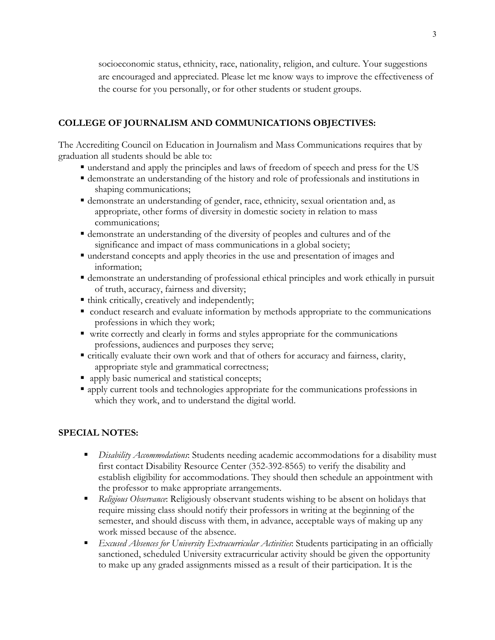socioeconomic status, ethnicity, race, nationality, religion, and culture. Your suggestions are encouraged and appreciated. Please let me know ways to improve the effectiveness of the course for you personally, or for other students or student groups.

#### **COLLEGE OF JOURNALISM AND COMMUNICATIONS OBJECTIVES:**

The Accrediting Council on Education in Journalism and Mass Communications requires that by graduation all students should be able to:

- § understand and apply the principles and laws of freedom of speech and press for the US
- § demonstrate an understanding of the history and role of professionals and institutions in shaping communications;
- § demonstrate an understanding of gender, race, ethnicity, sexual orientation and, as appropriate, other forms of diversity in domestic society in relation to mass communications;
- § demonstrate an understanding of the diversity of peoples and cultures and of the significance and impact of mass communications in a global society;
- § understand concepts and apply theories in the use and presentation of images and information;
- § demonstrate an understanding of professional ethical principles and work ethically in pursuit of truth, accuracy, fairness and diversity;
- think critically, creatively and independently;
- conduct research and evaluate information by methods appropriate to the communications professions in which they work;
- write correctly and clearly in forms and styles appropriate for the communications professions, audiences and purposes they serve;
- § critically evaluate their own work and that of others for accuracy and fairness, clarity, appropriate style and grammatical correctness;
- apply basic numerical and statistical concepts;
- apply current tools and technologies appropriate for the communications professions in which they work, and to understand the digital world.

#### **SPECIAL NOTES:**

- § *Disability Accommodations*: Students needing academic accommodations for a disability must first contact Disability Resource Center (352-392-8565) to verify the disability and establish eligibility for accommodations. They should then schedule an appointment with the professor to make appropriate arrangements.
- § *Religious Observance*: Religiously observant students wishing to be absent on holidays that require missing class should notify their professors in writing at the beginning of the semester, and should discuss with them, in advance, acceptable ways of making up any work missed because of the absence.
- *Excused Absences for University Extracurricular Activities*: Students participating in an officially sanctioned, scheduled University extracurricular activity should be given the opportunity to make up any graded assignments missed as a result of their participation. It is the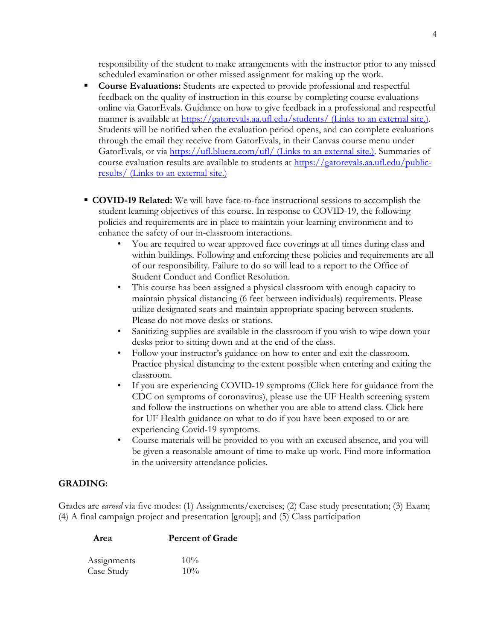responsibility of the student to make arrangements with the instructor prior to any missed scheduled examination or other missed assignment for making up the work.

- § **Course Evaluations:** Students are expected to provide professional and respectful feedback on the quality of instruction in this course by completing course evaluations online via GatorEvals. Guidance on how to give feedback in a professional and respectful manner is available at https://gatorevals.aa.ufl.edu/students/ (Links to an external site.). Students will be notified when the evaluation period opens, and can complete evaluations through the email they receive from GatorEvals, in their Canvas course menu under GatorEvals, or via https://ufl.bluera.com/ufl/ (Links to an external site.). Summaries of course evaluation results are available to students at https://gatorevals.aa.ufl.edu/publicresults/ (Links to an external site.)
- § **COVID-19 Related:** We will have face-to-face instructional sessions to accomplish the student learning objectives of this course. In response to COVID-19, the following policies and requirements are in place to maintain your learning environment and to enhance the safety of our in-classroom interactions.
	- You are required to wear approved face coverings at all times during class and within buildings. Following and enforcing these policies and requirements are all of our responsibility. Failure to do so will lead to a report to the Office of Student Conduct and Conflict Resolution.
	- This course has been assigned a physical classroom with enough capacity to maintain physical distancing (6 feet between individuals) requirements. Please utilize designated seats and maintain appropriate spacing between students. Please do not move desks or stations.
	- Sanitizing supplies are available in the classroom if you wish to wipe down your desks prior to sitting down and at the end of the class.
	- Follow your instructor's guidance on how to enter and exit the classroom. Practice physical distancing to the extent possible when entering and exiting the classroom.
	- If you are experiencing COVID-19 symptoms (Click here for guidance from the CDC on symptoms of coronavirus), please use the UF Health screening system and follow the instructions on whether you are able to attend class. Click here for UF Health guidance on what to do if you have been exposed to or are experiencing Covid-19 symptoms.
	- Course materials will be provided to you with an excused absence, and you will be given a reasonable amount of time to make up work. Find more information in the university attendance policies.

#### **GRADING:**

Grades are *earned* via five modes: (1) Assignments/exercises; (2) Case study presentation; (3) Exam; (4) A final campaign project and presentation [group]; and (5) Class participation

| Assignments | $10\%$ |
|-------------|--------|
| Case Study  | $10\%$ |

**Area Percent of Grade**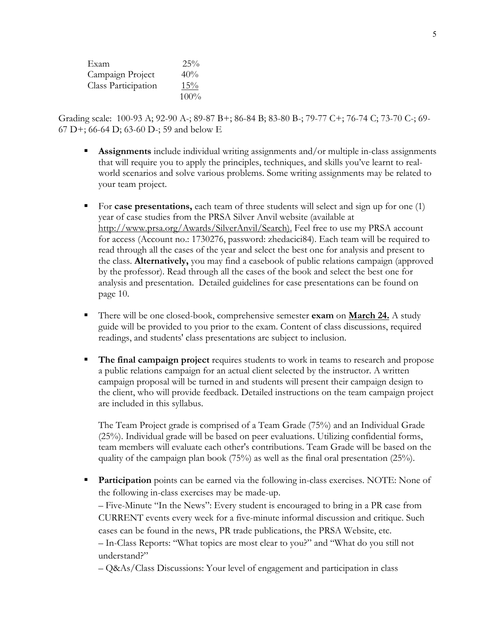| Exam                | 25%     |
|---------------------|---------|
| Campaign Project    | 40%     |
| Class Participation | 15%     |
|                     | $100\%$ |

Grading scale: 100-93 A; 92-90 A-; 89-87 B+; 86-84 B; 83-80 B-; 79-77 C+; 76-74 C; 73-70 C-; 69- 67 D+; 66-64 D; 63-60 D-; 59 and below E

- § **Assignments** include individual writing assignments and/or multiple in-class assignments that will require you to apply the principles, techniques, and skills you've learnt to realworld scenarios and solve various problems. Some writing assignments may be related to your team project.
- For **case presentations,** each team of three students will select and sign up for one (1) year of case studies from the PRSA Silver Anvil website (available at http://www.prsa.org/Awards/SilverAnvil/Search). Feel free to use my PRSA account for access (Account no.: 1730276, password: zhedacici84). Each team will be required to read through all the cases of the year and select the best one for analysis and present to the class. **Alternatively,** you may find a casebook of public relations campaign (approved by the professor). Read through all the cases of the book and select the best one for analysis and presentation. Detailed guidelines for case presentations can be found on page 10.
- § There will be one closed-book, comprehensive semester **exam** on **March 24.** A study guide will be provided to you prior to the exam. Content of class discussions, required readings, and students' class presentations are subject to inclusion.
- The final campaign project requires students to work in teams to research and propose a public relations campaign for an actual client selected by the instructor. A written campaign proposal will be turned in and students will present their campaign design to the client, who will provide feedback. Detailed instructions on the team campaign project are included in this syllabus.

The Team Project grade is comprised of a Team Grade (75%) and an Individual Grade (25%). Individual grade will be based on peer evaluations. Utilizing confidential forms, team members will evaluate each other's contributions. Team Grade will be based on the quality of the campaign plan book (75%) as well as the final oral presentation (25%).

**Participation** points can be earned via the following in-class exercises. NOTE: None of the following in-class exercises may be made-up.

– Five-Minute "In the News": Every student is encouraged to bring in a PR case from CURRENT events every week for a five-minute informal discussion and critique. Such cases can be found in the news, PR trade publications, the PRSA Website, etc.

– In-Class Reports: "What topics are most clear to you?" and "What do you still not understand?"

– Q&As/Class Discussions: Your level of engagement and participation in class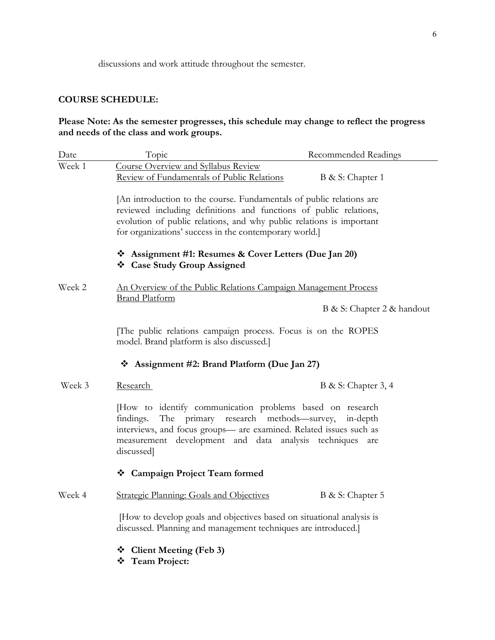discussions and work attitude throughout the semester.

### **COURSE SCHEDULE:**

### **Please Note: As the semester progresses, this schedule may change to reflect the progress and needs of the class and work groups.**

| Date   | Topic                                                                                                                                                                                                                                                                       | Recommended Readings       |  |
|--------|-----------------------------------------------------------------------------------------------------------------------------------------------------------------------------------------------------------------------------------------------------------------------------|----------------------------|--|
| Week 1 | Course Overview and Syllabus Review<br>Review of Fundamentals of Public Relations                                                                                                                                                                                           | B & S: Chapter 1           |  |
|        | [An introduction to the course. Fundamentals of public relations are<br>reviewed including definitions and functions of public relations,<br>evolution of public relations, and why public relations is important<br>for organizations' success in the contemporary world.] |                            |  |
|        | ❖ Assignment #1: Resumes & Cover Letters (Due Jan 20)<br>❖ Case Study Group Assigned                                                                                                                                                                                        |                            |  |
| Week 2 | An Overview of the Public Relations Campaign Management Process                                                                                                                                                                                                             |                            |  |
|        | <b>Brand Platform</b>                                                                                                                                                                                                                                                       | B & S: Chapter 2 & handout |  |
|        | The public relations campaign process. Focus is on the ROPES<br>model. Brand platform is also discussed.]                                                                                                                                                                   |                            |  |
|        | $\div$ Assignment #2: Brand Platform (Due Jan 27)                                                                                                                                                                                                                           |                            |  |
| Week 3 | <u>Research</u>                                                                                                                                                                                                                                                             | B & S: Chapter 3, 4        |  |
|        | [How to identify communication problems based on research<br>The primary research methods—survey, in-depth<br>findings.<br>interviews, and focus groups- are examined. Related issues such as<br>measurement development and data analysis techniques<br>discussed]         | are                        |  |
|        | ❖ Campaign Project Team formed                                                                                                                                                                                                                                              |                            |  |
| Week 4 | <b>Strategic Planning: Goals and Objectives</b>                                                                                                                                                                                                                             | B & S: Chapter 5           |  |
|        | [How to develop goals and objectives based on situational analysis is<br>discussed. Planning and management techniques are introduced.]                                                                                                                                     |                            |  |
|        | <b>Client Meeting (Feb 3)</b><br>❖<br>❖<br><b>Team Project:</b>                                                                                                                                                                                                             |                            |  |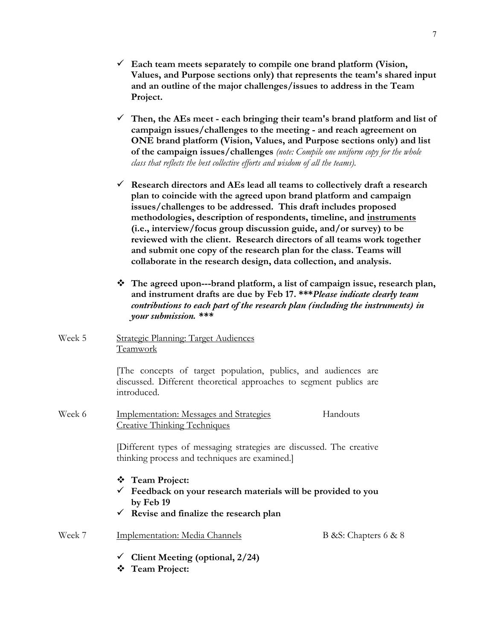- ü **Each team meets separately to compile one brand platform (Vision, Values, and Purpose sections only) that represents the team's shared input and an outline of the major challenges/issues to address in the Team Project.**
- ü **Then, the AEs meet - each bringing their team's brand platform and list of campaign issues/challenges to the meeting - and reach agreement on ONE brand platform (Vision, Values, and Purpose sections only) and list of the campaign issues/challenges** *(note: Compile one uniform copy for the whole class that reflects the best collective efforts and wisdom of all the teams).*
- ü **Research directors and AEs lead all teams to collectively draft a research plan to coincide with the agreed upon brand platform and campaign issues/challenges to be addressed. This draft includes proposed methodologies, description of respondents, timeline, and instruments (i.e., interview/focus group discussion guide, and/or survey) to be reviewed with the client. Research directors of all teams work together and submit one copy of the research plan for the class. Teams will collaborate in the research design, data collection, and analysis.**
- v **The agreed upon---brand platform, a list of campaign issue, research plan, and instrument drafts are due by Feb 17. \*\*\****Please indicate clearly team contributions to each part of the research plan (including the instruments) in your submission. \*\*\**
- Week 5 Strategic Planning: Target Audiences Teamwork

[The concepts of target population, publics, and audiences are discussed. Different theoretical approaches to segment publics are introduced.

Week 6 Implementation: Messages and Strategies Handouts Creative Thinking Techniques

> [Different types of messaging strategies are discussed. The creative thinking process and techniques are examined.]

- v **Team Project:**
- ü **Feedback on your research materials will be provided to you by Feb 19**

B &S: Chapters 6 & 8

ü **Revise and finalize the research plan** 

| Week 7 | Implementation: Media Channels |
|--------|--------------------------------|
|        |                                |

- ü **Client Meeting (optional, 2/24)**
- v **Team Project:**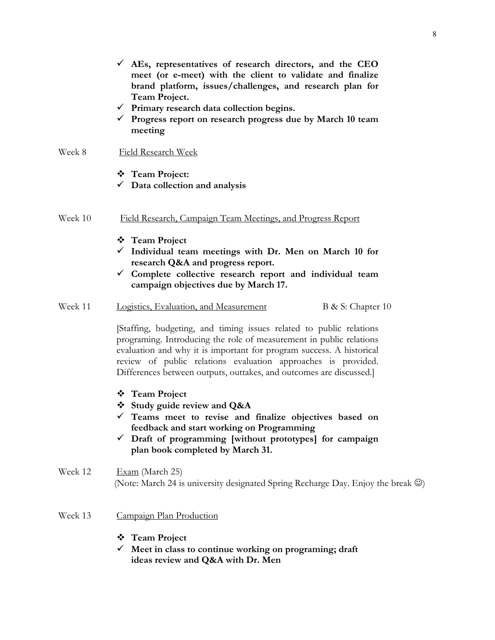- ü **AEs, representatives of research directors, and the CEO meet (or e-meet) with the client to validate and finalize brand platform, issues/challenges, and research plan for Team Project.**
- ü **Primary research data collection begins.**
- ü **Progress report on research progress due by March 10 team meeting**

#### Week 8Field Research Week

- v **Team Project:**
- ü **Data collection and analysis**
- Week 10 Field Research, Campaign Team Meetings, and Progress Report
	- v **Team Project**
	- ü **Individual team meetings with Dr. Men on March 10 for research Q&A and progress report.**
	- ü **Complete collective research report and individual team campaign objectives due by March 17.**
- Week 11 Logistics, Evaluation, and Measurement B & S: Chapter 10

[Staffing, budgeting, and timing issues related to public relations programing. Introducing the role of measurement in public relations evaluation and why it is important for program success. A historical review of public relations evaluation approaches is provided. Differences between outputs, outtakes, and outcomes are discussed.]

- v **Team Project**
- v **Study guide review and Q&A**
- ü **Teams meet to revise and finalize objectives based on feedback and start working on Programming**
- ü **Draft of programming [without prototypes] for campaign plan book completed by March 31.**

### Week 12 Exam (March 25) (Note: March 24 is university designated Spring Recharge Day. Enjoy the break  $\circledcirc$ )

- Week 13 Campaign Plan Production
	- v **Team Project**
	- ü **Meet in class to continue working on programing; draft ideas review and Q&A with Dr. Men**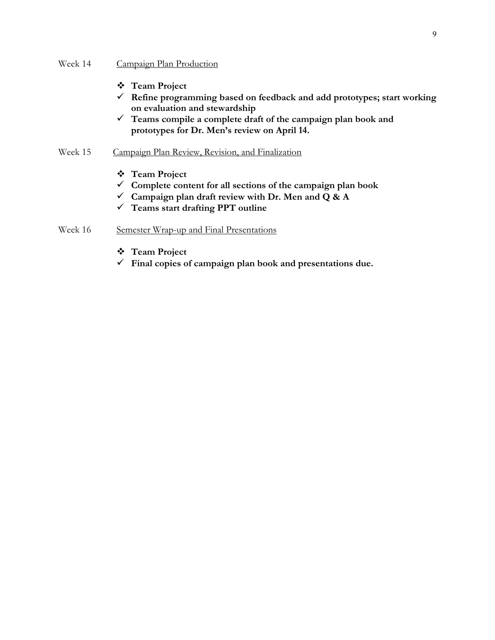#### Week 14 Campaign Plan Production

- v **Team Project**
- ü **Refine programming based on feedback and add prototypes; start working on evaluation and stewardship**
- ü **Teams compile a complete draft of the campaign plan book and prototypes for Dr. Men's review on April 14.**

#### Week 15 Campaign Plan Review, Revision, and Finalization

- **❖** Team Project
- ü **Complete content for all sections of the campaign plan book**
- ü **Campaign plan draft review with Dr. Men and Q & A**
- ü **Teams start drafting PPT outline**

#### Week 16 Semester Wrap-up and Final Presentations

- v **Team Project**
- $\checkmark$  Final copies of campaign plan book and presentations due.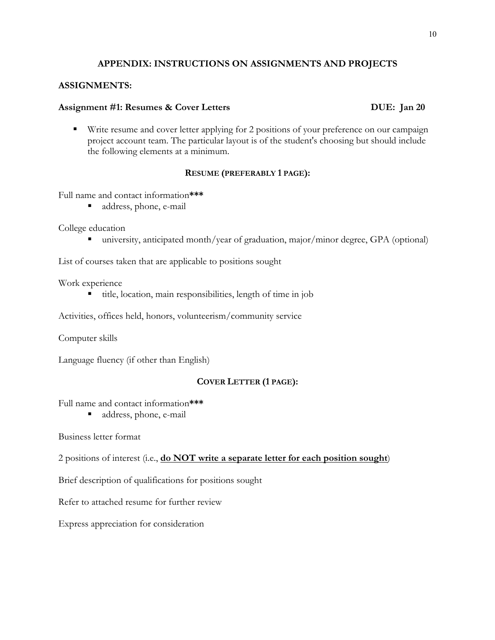#### **APPENDIX: INSTRUCTIONS ON ASSIGNMENTS AND PROJECTS**

#### **ASSIGNMENTS:**

#### Assignment #1: Resumes & Cover Letters DUE: Jan 20

■ Write resume and cover letter applying for 2 positions of your preference on our campaign project account team. The particular layout is of the student's choosing but should include the following elements at a minimum.

#### **RESUME (PREFERABLY 1 PAGE):**

Full name and contact information**\*\*\***

■ address, phone, e-mail

College education

■ university, anticipated month/year of graduation, major/minor degree, GPA (optional)

List of courses taken that are applicable to positions sought

Work experience

§ title, location, main responsibilities, length of time in job

Activities, offices held, honors, volunteerism/community service

Computer skills

Language fluency (if other than English)

#### **COVER LETTER (1 PAGE):**

Full name and contact information**\*\*\***

■ address, phone, e-mail

Business letter format

2 positions of interest (i.e., **do NOT write a separate letter for each position sought**)

Brief description of qualifications for positions sought

Refer to attached resume for further review

Express appreciation for consideration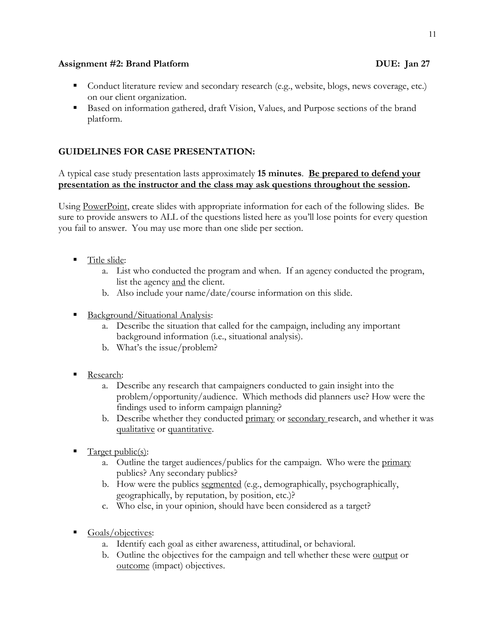#### **Assignment #2: Brand Platform DUE: Jan 27**

- Conduct literature review and secondary research (e.g., website, blogs, news coverage, etc.) on our client organization.
- Based on information gathered, draft Vision, Values, and Purpose sections of the brand platform.

### **GUIDELINES FOR CASE PRESENTATION:**

A typical case study presentation lasts approximately **15 minutes**. **Be prepared to defend your presentation as the instructor and the class may ask questions throughout the session.**

Using PowerPoint, create slides with appropriate information for each of the following slides. Be sure to provide answers to ALL of the questions listed here as you'll lose points for every question you fail to answer. You may use more than one slide per section.

- Title slide:
	- a. List who conducted the program and when. If an agency conducted the program, list the agency and the client.
	- b. Also include your name/date/course information on this slide.
- § Background/Situational Analysis:
	- a. Describe the situation that called for the campaign, including any important background information (i.e., situational analysis).
	- b. What's the issue/problem?
- Research:
	- a. Describe any research that campaigners conducted to gain insight into the problem/opportunity/audience. Which methods did planners use? How were the findings used to inform campaign planning?
	- b. Describe whether they conducted primary or secondary research, and whether it was qualitative or quantitative.
- § Target public(s):
	- a. Outline the target audiences/publics for the campaign. Who were the primary publics? Any secondary publics?
	- b. How were the publics segmented (e.g., demographically, psychographically, geographically, by reputation, by position, etc.)?
	- c. Who else, in your opinion, should have been considered as a target?
- § Goals/objectives:
	- a. Identify each goal as either awareness, attitudinal, or behavioral.
	- b. Outline the objectives for the campaign and tell whether these were output or outcome (impact) objectives.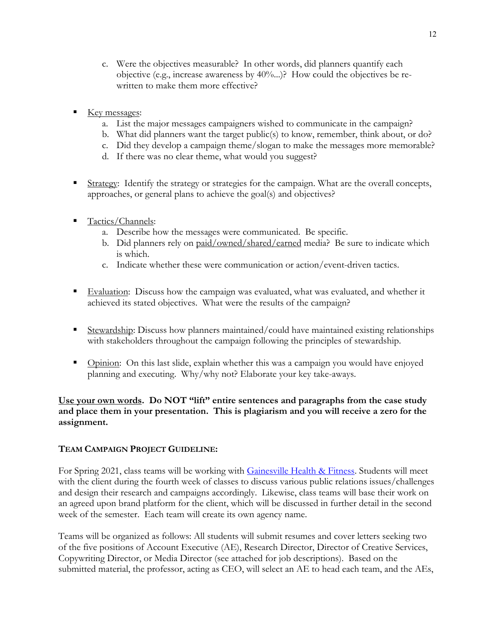- c. Were the objectives measurable? In other words, did planners quantify each objective (e.g., increase awareness by 40%...)? How could the objectives be rewritten to make them more effective?
- Key messages:
	- a. List the major messages campaigners wished to communicate in the campaign?
	- b. What did planners want the target public(s) to know, remember, think about, or do?
	- c. Did they develop a campaign theme/slogan to make the messages more memorable?
	- d. If there was no clear theme, what would you suggest?
- § Strategy: Identify the strategy or strategies for the campaign. What are the overall concepts, approaches, or general plans to achieve the goal(s) and objectives?
- § Tactics/Channels:
	- a. Describe how the messages were communicated. Be specific.
	- b. Did planners rely on paid/owned/shared/earned media? Be sure to indicate which is which.
	- c. Indicate whether these were communication or action/event-driven tactics.
- Evaluation: Discuss how the campaign was evaluated, what was evaluated, and whether it achieved its stated objectives. What were the results of the campaign?
- Stewardship: Discuss how planners maintained/could have maintained existing relationships with stakeholders throughout the campaign following the principles of stewardship.
- Opinion: On this last slide, explain whether this was a campaign you would have enjoyed planning and executing. Why/why not? Elaborate your key take-aways.

### **Use your own words. Do NOT "lift" entire sentences and paragraphs from the case study and place them in your presentation. This is plagiarism and you will receive a zero for the assignment.**

### **TEAM CAMPAIGN PROJECT GUIDELINE:**

For Spring 2021, class teams will be working with Gainesville Health & Fitness. Students will meet with the client during the fourth week of classes to discuss various public relations issues/challenges and design their research and campaigns accordingly. Likewise, class teams will base their work on an agreed upon brand platform for the client, which will be discussed in further detail in the second week of the semester. Each team will create its own agency name.

Teams will be organized as follows: All students will submit resumes and cover letters seeking two of the five positions of Account Executive (AE), Research Director, Director of Creative Services, Copywriting Director, or Media Director (see attached for job descriptions). Based on the submitted material, the professor, acting as CEO, will select an AE to head each team, and the AEs,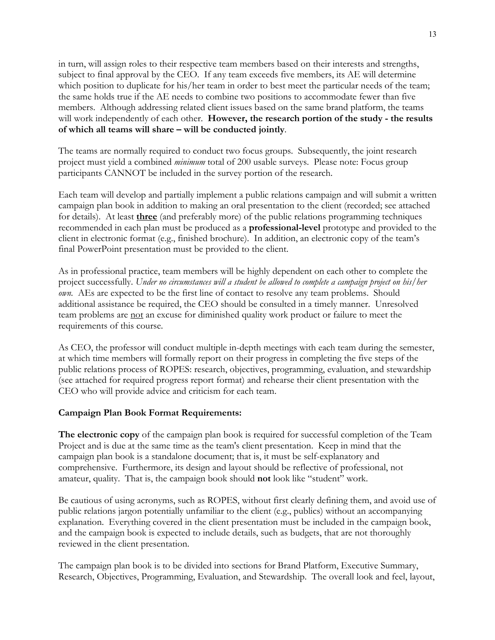in turn, will assign roles to their respective team members based on their interests and strengths, subject to final approval by the CEO. If any team exceeds five members, its AE will determine which position to duplicate for his/her team in order to best meet the particular needs of the team; the same holds true if the AE needs to combine two positions to accommodate fewer than five members. Although addressing related client issues based on the same brand platform, the teams will work independently of each other. **However, the research portion of the study - the results of which all teams will share – will be conducted jointly**.

The teams are normally required to conduct two focus groups. Subsequently, the joint research project must yield a combined *minimum* total of 200 usable surveys. Please note: Focus group participants CANNOT be included in the survey portion of the research.

Each team will develop and partially implement a public relations campaign and will submit a written campaign plan book in addition to making an oral presentation to the client (recorded; see attached for details). At least **three** (and preferably more) of the public relations programming techniques recommended in each plan must be produced as a **professional-level** prototype and provided to the client in electronic format (e.g., finished brochure). In addition, an electronic copy of the team's final PowerPoint presentation must be provided to the client.

As in professional practice, team members will be highly dependent on each other to complete the project successfully. *Under no circumstances will a student be allowed to complete a campaign project on his/her own.* AEs are expected to be the first line of contact to resolve any team problems. Should additional assistance be required, the CEO should be consulted in a timely manner. Unresolved team problems are not an excuse for diminished quality work product or failure to meet the requirements of this course.

As CEO, the professor will conduct multiple in-depth meetings with each team during the semester, at which time members will formally report on their progress in completing the five steps of the public relations process of ROPES: research, objectives, programming, evaluation, and stewardship (see attached for required progress report format) and rehearse their client presentation with the CEO who will provide advice and criticism for each team.

#### **Campaign Plan Book Format Requirements:**

**The electronic copy** of the campaign plan book is required for successful completion of the Team Project and is due at the same time as the team's client presentation. Keep in mind that the campaign plan book is a standalone document; that is, it must be self-explanatory and comprehensive. Furthermore, its design and layout should be reflective of professional, not amateur, quality. That is, the campaign book should **not** look like "student" work.

Be cautious of using acronyms, such as ROPES, without first clearly defining them, and avoid use of public relations jargon potentially unfamiliar to the client (e.g., publics) without an accompanying explanation. Everything covered in the client presentation must be included in the campaign book, and the campaign book is expected to include details, such as budgets, that are not thoroughly reviewed in the client presentation.

The campaign plan book is to be divided into sections for Brand Platform, Executive Summary, Research, Objectives, Programming, Evaluation, and Stewardship. The overall look and feel, layout,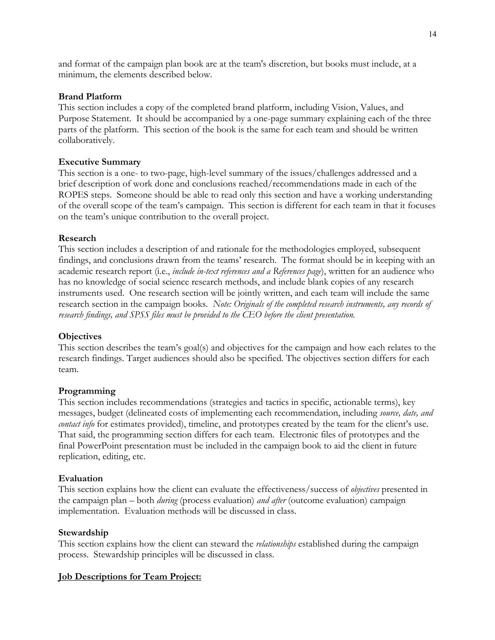and format of the campaign plan book are at the team's discretion, but books must include, at a minimum, the elements described below.

#### **Brand Platform**

This section includes a copy of the completed brand platform, including Vision, Values, and Purpose Statement. It should be accompanied by a one-page summary explaining each of the three parts of the platform. This section of the book is the same for each team and should be written collaboratively.

#### **Executive Summary**

This section is a one- to two-page, high-level summary of the issues/challenges addressed and a brief description of work done and conclusions reached/recommendations made in each of the ROPES steps. Someone should be able to read only this section and have a working understanding of the overall scope of the team's campaign. This section is different for each team in that it focuses on the team's unique contribution to the overall project.

#### **Research**

This section includes a description of and rationale for the methodologies employed, subsequent findings, and conclusions drawn from the teams' research. The format should be in keeping with an academic research report (i.e., *include in-text references and a References page*), written for an audience who has no knowledge of social science research methods, and include blank copies of any research instruments used. One research section will be jointly written, and each team will include the same research section in the campaign books. *Note: Originals of the completed research instruments, any records of research findings, and SPSS files must be provided to the CEO before the client presentation.*

#### **Objectives**

This section describes the team's goal(s) and objectives for the campaign and how each relates to the research findings. Target audiences should also be specified. The objectives section differs for each team.

#### **Programming**

This section includes recommendations (strategies and tactics in specific, actionable terms), key messages, budget (delineated costs of implementing each recommendation, including *source, date, and contact info* for estimates provided), timeline, and prototypes created by the team for the client's use. That said, the programming section differs for each team. Electronic files of prototypes and the final PowerPoint presentation must be included in the campaign book to aid the client in future replication, editing, etc.

#### **Evaluation**

This section explains how the client can evaluate the effectiveness/success of *objectives* presented in the campaign plan – both *during* (process evaluation) *and after* (outcome evaluation) campaign implementation. Evaluation methods will be discussed in class.

#### **Stewardship**

This section explains how the client can steward the *relationships* established during the campaign process. Stewardship principles will be discussed in class.

#### **Job Descriptions for Team Project:**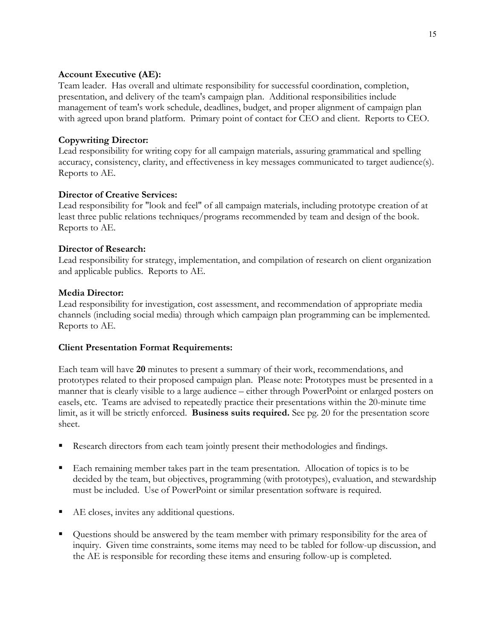#### **Account Executive (AE):**

Team leader. Has overall and ultimate responsibility for successful coordination, completion, presentation, and delivery of the team's campaign plan. Additional responsibilities include management of team's work schedule, deadlines, budget, and proper alignment of campaign plan with agreed upon brand platform. Primary point of contact for CEO and client. Reports to CEO.

### **Copywriting Director:**

Lead responsibility for writing copy for all campaign materials, assuring grammatical and spelling accuracy, consistency, clarity, and effectiveness in key messages communicated to target audience(s). Reports to AE.

#### **Director of Creative Services:**

Lead responsibility for "look and feel" of all campaign materials, including prototype creation of at least three public relations techniques/programs recommended by team and design of the book. Reports to AE.

#### **Director of Research:**

Lead responsibility for strategy, implementation, and compilation of research on client organization and applicable publics. Reports to AE.

#### **Media Director:**

Lead responsibility for investigation, cost assessment, and recommendation of appropriate media channels (including social media) through which campaign plan programming can be implemented. Reports to AE.

#### **Client Presentation Format Requirements:**

Each team will have **20** minutes to present a summary of their work, recommendations, and prototypes related to their proposed campaign plan. Please note: Prototypes must be presented in a manner that is clearly visible to a large audience – either through PowerPoint or enlarged posters on easels, etc. Teams are advised to repeatedly practice their presentations within the 20-minute time limit, as it will be strictly enforced. **Business suits required.** See pg. 20 for the presentation score sheet.

- Research directors from each team jointly present their methodologies and findings.
- Each remaining member takes part in the team presentation. Allocation of topics is to be decided by the team, but objectives, programming (with prototypes), evaluation, and stewardship must be included. Use of PowerPoint or similar presentation software is required.
- AE closes, invites any additional questions.
- § Questions should be answered by the team member with primary responsibility for the area of inquiry. Given time constraints, some items may need to be tabled for follow-up discussion, and the AE is responsible for recording these items and ensuring follow-up is completed.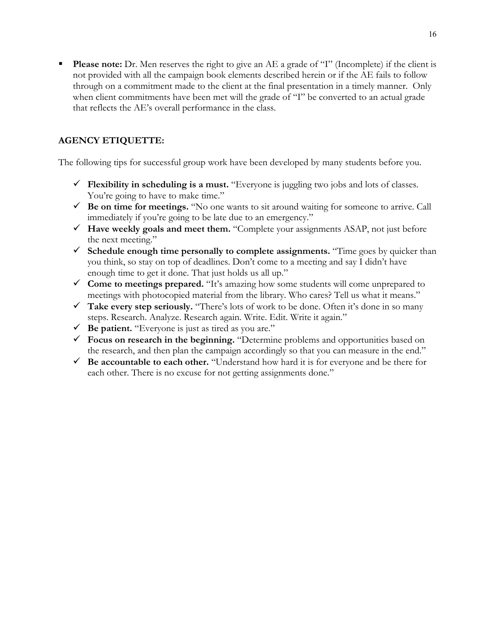**Please note:** Dr. Men reserves the right to give an AE a grade of "I" (Incomplete) if the client is not provided with all the campaign book elements described herein or if the AE fails to follow through on a commitment made to the client at the final presentation in a timely manner. Only when client commitments have been met will the grade of "I" be converted to an actual grade that reflects the AE's overall performance in the class.

### **AGENCY ETIQUETTE:**

The following tips for successful group work have been developed by many students before you.

- **Flexibility in scheduling is a must.** "Everyone is juggling two jobs and lots of classes. You're going to have to make time."
- $\checkmark$  Be on time for meetings. "No one wants to sit around waiting for someone to arrive. Call immediately if you're going to be late due to an emergency."
- $\checkmark$  **Have weekly goals and meet them.** "Complete your assignments ASAP, not just before the next meeting."
- ü **Schedule enough time personally to complete assignments.** "Time goes by quicker than you think, so stay on top of deadlines. Don't come to a meeting and say I didn't have enough time to get it done. That just holds us all up."
- $\checkmark$  Come to meetings prepared. "It's amazing how some students will come unprepared to meetings with photocopied material from the library. Who cares? Tell us what it means."
- ü **Take every step seriously.** "There's lots of work to be done. Often it's done in so many steps. Research. Analyze. Research again. Write. Edit. Write it again."
- ü **Be patient.** "Everyone is just as tired as you are."
- $\checkmark$  Focus on research in the beginning. "Determine problems and opportunities based on the research, and then plan the campaign accordingly so that you can measure in the end."
- $\checkmark$  Be accountable to each other. "Understand how hard it is for everyone and be there for each other. There is no excuse for not getting assignments done."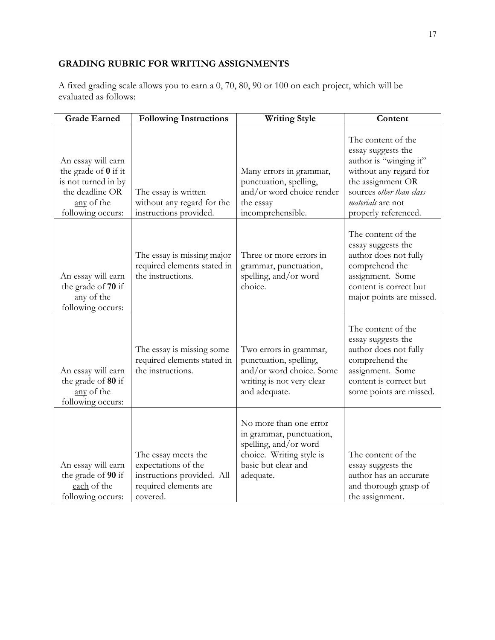### **GRADING RUBRIC FOR WRITING ASSIGNMENTS**

A fixed grading scale allows you to earn a 0, 70, 80, 90 or 100 on each project, which will be evaluated as follows:

| <b>Grade Earned</b>                                                                                                            | <b>Following Instructions</b>                                                                                 | <b>Writing Style</b>                                                                                                                        | Content                                                                                                                                                                                    |
|--------------------------------------------------------------------------------------------------------------------------------|---------------------------------------------------------------------------------------------------------------|---------------------------------------------------------------------------------------------------------------------------------------------|--------------------------------------------------------------------------------------------------------------------------------------------------------------------------------------------|
| An essay will earn<br>the grade of $\theta$ if it<br>is not turned in by<br>the deadline OR<br>any of the<br>following occurs: | The essay is written<br>without any regard for the<br>instructions provided.                                  | Many errors in grammar,<br>punctuation, spelling,<br>and/or word choice render<br>the essay<br>incomprehensible.                            | The content of the<br>essay suggests the<br>author is "winging it"<br>without any regard for<br>the assignment OR<br>sources other than class<br>materials are not<br>properly referenced. |
| An essay will earn<br>the grade of 70 if<br>any of the<br>following occurs:                                                    | The essay is missing major<br>required elements stated in<br>the instructions.                                | Three or more errors in<br>grammar, punctuation,<br>spelling, and/or word<br>choice.                                                        | The content of the<br>essay suggests the<br>author does not fully<br>comprehend the<br>assignment. Some<br>content is correct but<br>major points are missed.                              |
| An essay will earn<br>the grade of 80 if<br>any of the<br>following occurs:                                                    | The essay is missing some<br>required elements stated in<br>the instructions.                                 | Two errors in grammar,<br>punctuation, spelling,<br>and/or word choice. Some<br>writing is not very clear<br>and adequate.                  | The content of the<br>essay suggests the<br>author does not fully<br>comprehend the<br>assignment. Some<br>content is correct but<br>some points are missed.                               |
| An essay will earn<br>the grade of 90 if<br>each of the<br>following occurs:                                                   | The essay meets the<br>expectations of the<br>instructions provided. All<br>required elements are<br>covered. | No more than one error<br>in grammar, punctuation,<br>spelling, and/or word<br>choice. Writing style is<br>basic but clear and<br>adequate. | The content of the<br>essay suggests the<br>author has an accurate<br>and thorough grasp of<br>the assignment.                                                                             |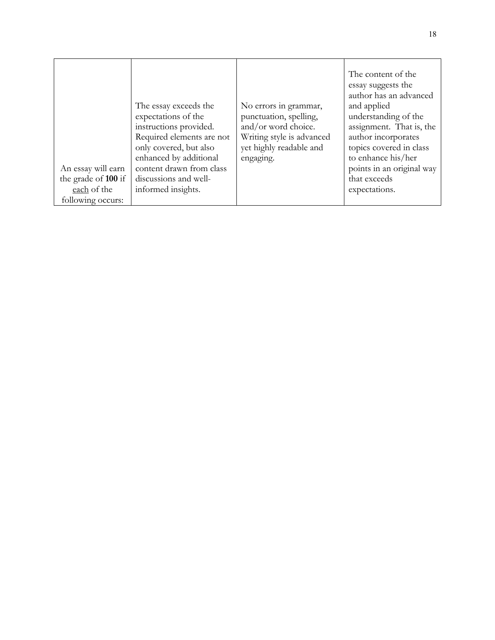| An essay will earn<br>the grade of 100 if<br>each of the<br>following occurs: | The essay exceeds the<br>expectations of the<br>instructions provided.<br>Required elements are not<br>only covered, but also<br>enhanced by additional<br>content drawn from class<br>discussions and well-<br>informed insights. | No errors in grammar,<br>punctuation, spelling,<br>and/or word choice.<br>Writing style is advanced<br>yet highly readable and<br>engaging. | The content of the<br>essay suggests the<br>author has an advanced<br>and applied<br>understanding of the<br>assignment. That is, the<br>author incorporates<br>topics covered in class<br>to enhance his/her<br>points in an original way<br>that exceeds<br>expectations. |
|-------------------------------------------------------------------------------|------------------------------------------------------------------------------------------------------------------------------------------------------------------------------------------------------------------------------------|---------------------------------------------------------------------------------------------------------------------------------------------|-----------------------------------------------------------------------------------------------------------------------------------------------------------------------------------------------------------------------------------------------------------------------------|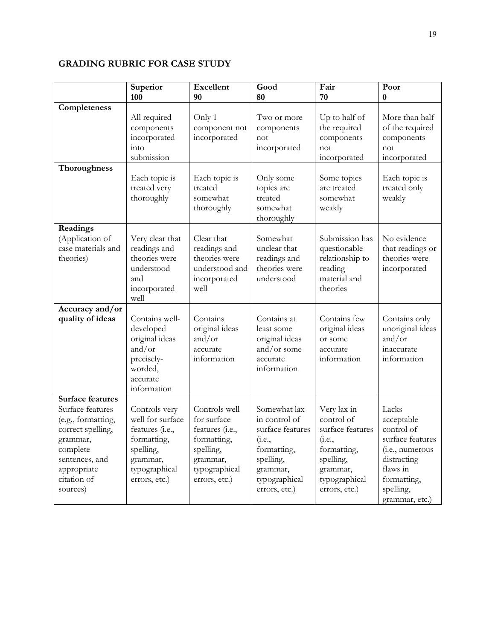### **GRADING RUBRIC FOR CASE STUDY**

|                                                                                                                                                                            | Superior<br>100                                                                                                                | <b>Excellent</b><br>90                                                                                                    | Good<br>80                                                                                                                                     | Fair<br>70                                                                                                                                 | Poor<br>$\bf{0}$                                                                                                                                           |
|----------------------------------------------------------------------------------------------------------------------------------------------------------------------------|--------------------------------------------------------------------------------------------------------------------------------|---------------------------------------------------------------------------------------------------------------------------|------------------------------------------------------------------------------------------------------------------------------------------------|--------------------------------------------------------------------------------------------------------------------------------------------|------------------------------------------------------------------------------------------------------------------------------------------------------------|
| Completeness                                                                                                                                                               | All required<br>components<br>incorporated<br>into<br>submission                                                               | Only 1<br>component not<br>incorporated                                                                                   | Two or more<br>components<br>not<br>incorporated                                                                                               | Up to half of<br>the required<br>components<br>not<br>incorporated                                                                         | More than half<br>of the required<br>components<br>not<br>incorporated                                                                                     |
| Thoroughness                                                                                                                                                               | Each topic is<br>treated very<br>thoroughly                                                                                    | Each topic is<br>treated<br>somewhat<br>thoroughly                                                                        | Only some<br>topics are<br>treated<br>somewhat<br>thoroughly                                                                                   | Some topics<br>are treated<br>somewhat<br>weakly                                                                                           | Each topic is<br>treated only<br>weakly                                                                                                                    |
| Readings<br>(Application of<br>case materials and<br>theories)                                                                                                             | Very clear that<br>readings and<br>theories were<br>understood<br>and<br>incorporated<br>well                                  | Clear that<br>readings and<br>theories were<br>understood and<br>incorporated<br>well                                     | Somewhat<br>unclear that<br>readings and<br>theories were<br>understood                                                                        | Submission has<br>questionable<br>relationship to<br>reading<br>material and<br>theories                                                   | No evidence<br>that readings or<br>theories were<br>incorporated                                                                                           |
| Accuracy and/or<br>quality of ideas                                                                                                                                        | Contains well-<br>developed<br>original ideas<br>and/or<br>precisely-<br>worded,<br>accurate<br>information                    | Contains<br>original ideas<br>and/or<br>accurate<br>information                                                           | Contains at<br>least some<br>original ideas<br>and/or some<br>accurate<br>information                                                          | Contains few<br>original ideas<br>or some<br>accurate<br>information                                                                       | Contains only<br>unoriginal ideas<br>and/or<br>inaccurate<br>information                                                                                   |
| <b>Surface features</b><br>Surface features<br>(e.g., formatting,<br>correct spelling,<br>grammar,<br>complete<br>sentences, and<br>appropriate<br>citation of<br>sources) | Controls very<br>well for surface<br>features (i.e.,<br>formatting,<br>spelling,<br>grammar,<br>typographical<br>errors, etc.) | Controls well<br>for surface<br>features (i.e.,<br>formatting,<br>spelling,<br>grammar,<br>typographical<br>errors, etc.) | Somewhat lax<br>in control of<br>surface features<br>( <i>i.e.</i> ,<br>formatting,<br>spelling,<br>grammar,<br>typographical<br>errors, etc.) | Very lax in<br>control of<br>surface features<br>( <i>i.e.</i> ,<br>formatting,<br>spelling,<br>grammar,<br>typographical<br>errors, etc.) | Lacks<br>acceptable<br>control of<br>surface features<br>( <i>i.e.</i> , numerous<br>distracting<br>flaws in<br>formatting,<br>spelling,<br>grammar, etc.) |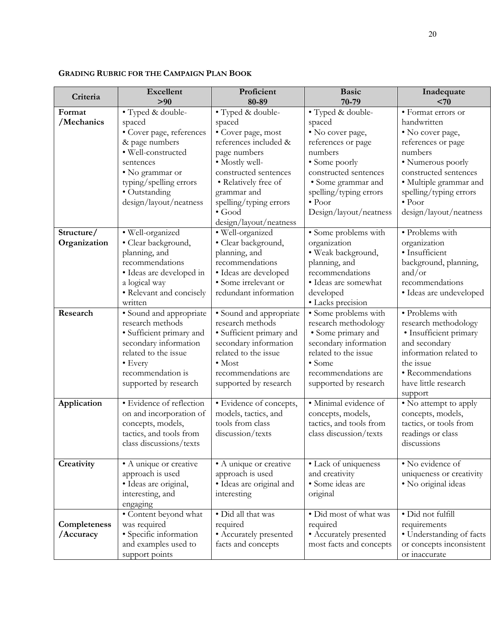| Criteria     | <b>Excellent</b>                                   | Proficient                               | <b>Basic</b>                                 | Inadequate                       |
|--------------|----------------------------------------------------|------------------------------------------|----------------------------------------------|----------------------------------|
|              | > 90                                               | 80-89                                    | 70-79                                        | $70$                             |
| Format       | • Typed & double-                                  | • Typed & double-                        | • Typed & double-                            | · Format errors or               |
| /Mechanics   | spaced                                             | spaced                                   | spaced                                       | handwritten                      |
|              | • Cover page, references                           | • Cover page, most                       | · No cover page,                             | • No cover page,                 |
|              | & page numbers                                     | references included &                    | references or page                           | references or page               |
|              | · Well-constructed                                 | page numbers                             | numbers                                      | numbers                          |
|              | sentences                                          | • Mostly well-                           | • Some poorly                                | • Numerous poorly                |
|              | • No grammar or                                    | constructed sentences                    | constructed sentences                        | constructed sentences            |
|              | typing/spelling errors                             | • Relatively free of                     | • Some grammar and                           | · Multiple grammar and           |
|              | • Outstanding                                      | grammar and                              | spelling/typing errors                       | spelling/typing errors           |
|              | design/layout/neatness                             | spelling/typing errors                   | $\bullet$ Poor                               | $\bullet$ Poor                   |
|              |                                                    | $\bullet$ Good                           | Design/layout/neatness                       | design/layout/neatness           |
|              |                                                    | design/layout/neatness                   |                                              |                                  |
| Structure/   | · Well-organized                                   | · Well-organized                         | • Some problems with                         | · Problems with                  |
| Organization | · Clear background,                                | · Clear background,                      | organization                                 | organization                     |
|              | planning, and                                      | planning, and                            | · Weak background,                           | · Insufficient                   |
|              | recommendations                                    | recommendations                          | planning, and                                | background, planning,            |
|              | · Ideas are developed in                           | · Ideas are developed                    | recommendations                              | and/or                           |
|              | a logical way                                      | · Some irrelevant or                     | • Ideas are somewhat                         | recommendations                  |
|              | • Relevant and concisely                           | redundant information                    | developed                                    | · Ideas are undeveloped          |
|              | written                                            |                                          | · Lacks precision                            |                                  |
| Research     | · Sound and appropriate                            | • Sound and appropriate                  | · Some problems with                         | • Problems with                  |
|              | research methods                                   | research methods                         | research methodology                         | research methodology             |
|              | · Sufficient primary and                           | · Sufficient primary and                 | • Some primary and                           | · Insufficient primary           |
|              | secondary information                              | secondary information                    | secondary information                        | and secondary                    |
|              | related to the issue                               | related to the issue                     | related to the issue                         | information related to           |
|              | $\bullet$ Every                                    | $\bullet$ Most                           | • Some                                       | the issue                        |
|              | recommendation is                                  | recommendations are                      | recommendations are                          | · Recommendations                |
|              | supported by research                              | supported by research                    | supported by research                        | have little research             |
|              |                                                    |                                          |                                              | support                          |
| Application  | · Evidence of reflection                           | · Evidence of concepts,                  | · Minimal evidence of                        | • No attempt to apply            |
|              | on and incorporation of                            | models, tactics, and<br>tools from class | concepts, models,<br>tactics, and tools from | concepts, models,                |
|              | concepts, models,                                  |                                          |                                              | tactics, or tools from           |
|              | tactics, and tools from<br>class discussions/texts | discussion/texts                         | class discussion/texts                       | readings or class<br>discussions |
|              |                                                    |                                          |                                              |                                  |
| Creativity   | • A unique or creative                             | • A unique or creative                   | • Lack of uniqueness                         | • No evidence of                 |
|              | approach is used                                   | approach is used                         | and creativity                               | uniqueness or creativity         |
|              | · Ideas are original,                              | · Ideas are original and                 | · Some ideas are                             | · No original ideas              |
|              | interesting, and                                   | interesting                              | original                                     |                                  |
|              | engaging                                           |                                          |                                              |                                  |
|              | • Content beyond what                              | · Did all that was                       | · Did most of what was                       | · Did not fulfill                |
| Completeness | was required                                       | required                                 | required                                     | requirements                     |
| /Accuracy    | · Specific information                             | • Accurately presented                   | • Accurately presented                       | • Understanding of facts         |
|              | and examples used to                               | facts and concepts                       | most facts and concepts                      | or concepts inconsistent         |
|              | support points                                     |                                          |                                              | or inaccurate                    |
|              |                                                    |                                          |                                              |                                  |

#### **GRADING RUBRIC FOR THE CAMPAIGN PLAN BOOK**